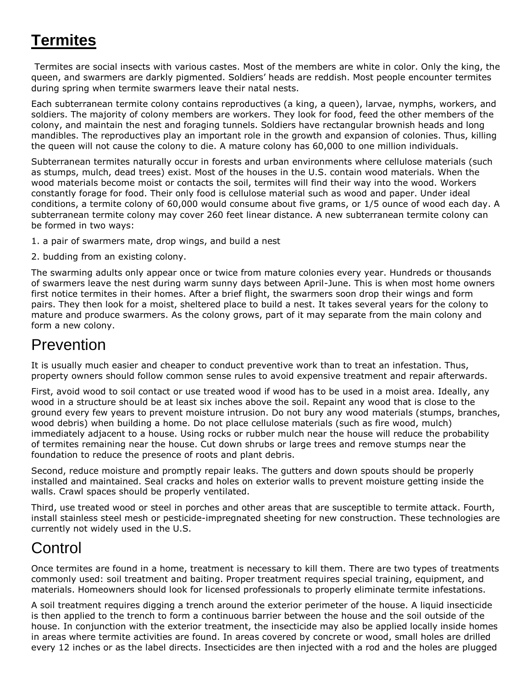# **Termites**

Termites are social insects with various castes. Most of the members are white in color. Only the king, the queen, and swarmers are darkly pigmented. Soldiers' heads are reddish. Most people encounter termites during spring when termite swarmers leave their natal nests.

Each subterranean termite colony contains reproductives (a king, a queen), larvae, nymphs, workers, and soldiers. The majority of colony members are workers. They look for food, feed the other members of the colony, and maintain the nest and foraging tunnels. Soldiers have rectangular brownish heads and long mandibles. The reproductives play an important role in the growth and expansion of colonies. Thus, killing the queen will not cause the colony to die. A mature colony has 60,000 to one million individuals.

Subterranean termites naturally occur in forests and urban environments where cellulose materials (such as stumps, mulch, dead trees) exist. Most of the houses in the U.S. contain wood materials. When the wood materials become moist or contacts the soil, termites will find their way into the wood. Workers constantly forage for food. Their only food is cellulose material such as wood and paper. Under ideal conditions, a termite colony of 60,000 would consume about five grams, or 1/5 ounce of wood each day. A subterranean termite colony may cover 260 feet linear distance. A new subterranean termite colony can be formed in two ways:

1. a pair of swarmers mate, drop wings, and build a nest

2. budding from an existing colony.

The swarming adults only appear once or twice from mature colonies every year. Hundreds or thousands of swarmers leave the nest during warm sunny days between April-June. This is when most home owners first notice termites in their homes. After a brief flight, the swarmers soon drop their wings and form pairs. They then look for a moist, sheltered place to build a nest. It takes several years for the colony to mature and produce swarmers. As the colony grows, part of it may separate from the main colony and form a new colony.

## Prevention

It is usually much easier and cheaper to conduct preventive work than to treat an infestation. Thus, property owners should follow common sense rules to avoid expensive treatment and repair afterwards.

First, avoid wood to soil contact or use treated wood if wood has to be used in a moist area. Ideally, any wood in a structure should be at least six inches above the soil. Repaint any wood that is close to the ground every few years to prevent moisture intrusion. Do not bury any wood materials (stumps, branches, wood debris) when building a home. Do not place cellulose materials (such as fire wood, mulch) immediately adjacent to a house. Using rocks or rubber mulch near the house will reduce the probability of termites remaining near the house. Cut down shrubs or large trees and remove stumps near the foundation to reduce the presence of roots and plant debris.

Second, reduce moisture and promptly repair leaks. The gutters and down spouts should be properly installed and maintained. Seal cracks and holes on exterior walls to prevent moisture getting inside the walls. Crawl spaces should be properly ventilated.

Third, use treated wood or steel in porches and other areas that are susceptible to termite attack. Fourth, install stainless steel mesh or pesticide-impregnated sheeting for new construction. These technologies are currently not widely used in the U.S.

## Control

Once termites are found in a home, treatment is necessary to kill them. There are two types of treatments commonly used: soil treatment and baiting. Proper treatment requires special training, equipment, and materials. Homeowners should look for licensed professionals to properly eliminate termite infestations.

A soil treatment requires digging a trench around the exterior perimeter of the house. A liquid insecticide is then applied to the trench to form a continuous barrier between the house and the soil outside of the house. In conjunction with the exterior treatment, the insecticide may also be applied locally inside homes in areas where termite activities are found. In areas covered by concrete or wood, small holes are drilled every 12 inches or as the label directs. Insecticides are then injected with a rod and the holes are plugged